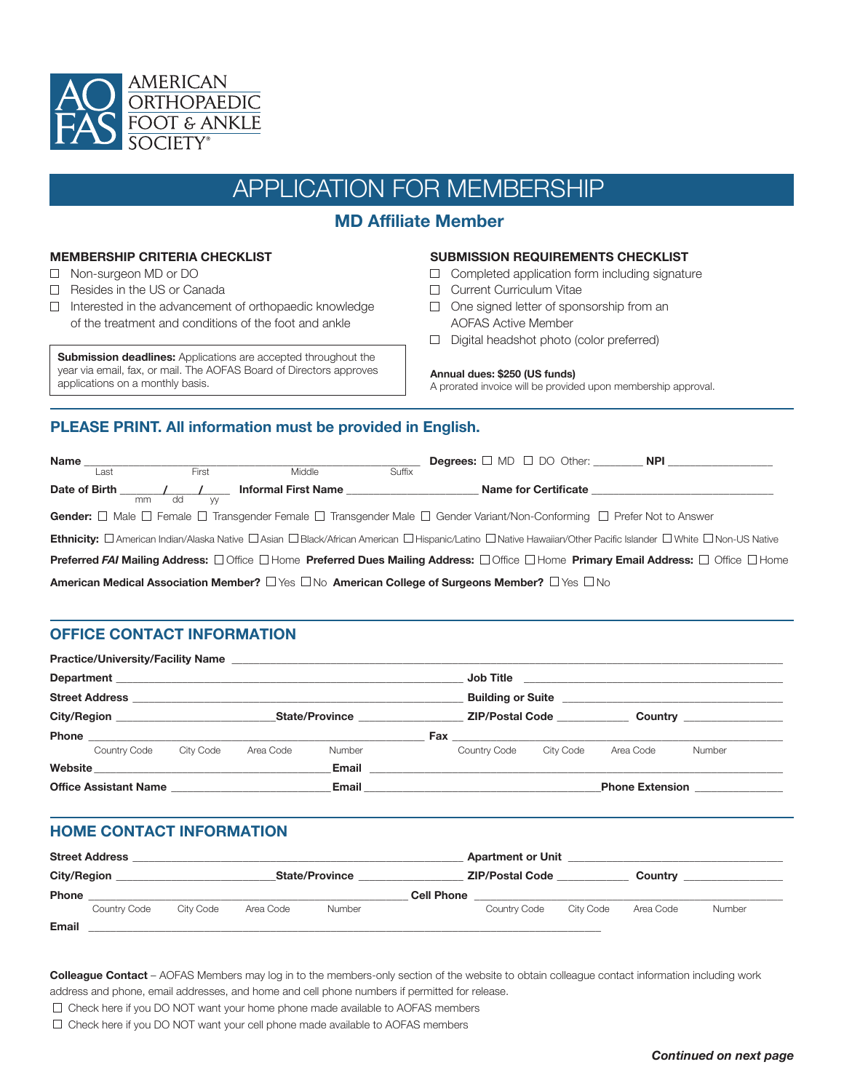

# APPLICATION FOR MEMBERSHIP

# **MD Affiliate Member**

## **MEMBERSHIP CRITERIA CHECKLIST**

- □ Non-surgeon MD or DO
- □ Resides in the US or Canada
- $\Box$  Interested in the advancement of orthopaedic knowledge of the treatment and conditions of the foot and ankle

**Submission deadlines:** Applications are accepted throughout the year via email, fax, or mail. The AOFAS Board of Directors approves applications on a monthly basis.

#### **SUBMISSION REQUIREMENTS CHECKLIST**

- $\Box$  Completed application form including signature
- **Current Curriculum Vitae**
- $\Box$  One signed letter of sponsorship from an AOFAS Active Member
- Digital headshot photo (color preferred)

#### **Annual dues: \$250 (US funds)**

A prorated invoice will be provided upon membership approval.

## **PLEASE PRINT. All information must be provided in English.**

| <b>Name</b> |      |       |          |                                                                                                                                                      |        |  | <b>Degrees:</b> $\Box$ MD $\Box$ DO Other: <b>NPI</b>                                                                                                                                    |  |
|-------------|------|-------|----------|------------------------------------------------------------------------------------------------------------------------------------------------------|--------|--|------------------------------------------------------------------------------------------------------------------------------------------------------------------------------------------|--|
|             | Last |       | First    | Middle                                                                                                                                               | Suffix |  |                                                                                                                                                                                          |  |
|             |      | mm dd | <b>W</b> | <b>Informal First Name</b>                                                                                                                           |        |  | Name for Certificate <b>Example 20</b>                                                                                                                                                   |  |
|             |      |       |          | Gender: $\Box$ Male $\Box$ Female $\Box$ Transgender Female $\Box$ Transgender Male $\Box$ Gender Variant/Non-Conforming $\Box$ Prefer Not to Answer |        |  |                                                                                                                                                                                          |  |
|             |      |       |          |                                                                                                                                                      |        |  | Ethnicity: □ American Indian/Alaska Native □ Asian □ Black/African American □ Hispanic/Latino □ Native Hawaiian/Other Pacific Islander □ White □ Non-US Native                           |  |
|             |      |       |          |                                                                                                                                                      |        |  | <b>Preferred FAI Mailing Address:</b> $\Box$ Office $\Box$ Home <b>Preferred Dues Mailing Address:</b> $\Box$ Office $\Box$ Home <b>Primary Email Address:</b> $\Box$ Office $\Box$ Home |  |
|             |      |       |          | American Medical Association Member? $\Box$ Yes $\Box$ No American College of Surgeons Member? $\Box$ Yes $\Box$ No                                  |        |  |                                                                                                                                                                                          |  |

## **OFFICE CONTACT INFORMATION**

| <b>Practice/University/Facility Name</b>           |           |           |                |                                                                                                                                    |                        |           |                                                     |  |  |
|----------------------------------------------------|-----------|-----------|----------------|------------------------------------------------------------------------------------------------------------------------------------|------------------------|-----------|-----------------------------------------------------|--|--|
|                                                    |           |           |                | Job Title<br><u> 1989 - John Harry Harry Harry Harry Harry Harry Harry Harry Harry Harry Harry Harry Harry Harry Harry Harry H</u> |                        |           |                                                     |  |  |
|                                                    |           |           |                |                                                                                                                                    |                        |           |                                                     |  |  |
| City/Region <b>Community</b> City <b>Community</b> |           |           | State/Province |                                                                                                                                    | <b>ZIP/Postal Code</b> |           | Country <u>and the country of the second second</u> |  |  |
|                                                    |           |           |                | Fax __________________________                                                                                                     |                        |           |                                                     |  |  |
| Country Code                                       | City Code | Area Code | Number         | Country Code                                                                                                                       | City Code              | Area Code | Number                                              |  |  |
| Website                                            |           |           | Email          |                                                                                                                                    |                        |           |                                                     |  |  |
| <b>Office Assistant Name</b>                       |           |           | Email          |                                                                                                                                    |                        |           | <b>Phone Extension</b>                              |  |  |

## **HOME CONTACT INFORMATION**

|              | <b>Street Address</b> |           |           | <b>Apartment or Unit</b> |                        |              |           |           |        |
|--------------|-----------------------|-----------|-----------|--------------------------|------------------------|--------------|-----------|-----------|--------|
|              | <b>City/Region</b>    |           |           | <b>State/Province</b>    | <b>ZIP/Postal Code</b> |              |           | Country   |        |
| <b>Phone</b> |                       |           |           |                          | <b>Cell Phone</b>      |              |           |           |        |
|              | Country Code          | City Code | Area Code | <b>Number</b>            |                        | Country Code | City Code | Area Code | Number |
| Email        |                       |           |           |                          |                        |              |           |           |        |

**Colleague Contact** – AOFAS Members may log in to the members-only section of the website to obtain colleague contact information including work address and phone, email addresses, and home and cell phone numbers if permitted for release.

- $\Box$  Check here if you DO NOT want your home phone made available to AOFAS members
- $\Box$  Check here if you DO NOT want your cell phone made available to AOFAS members